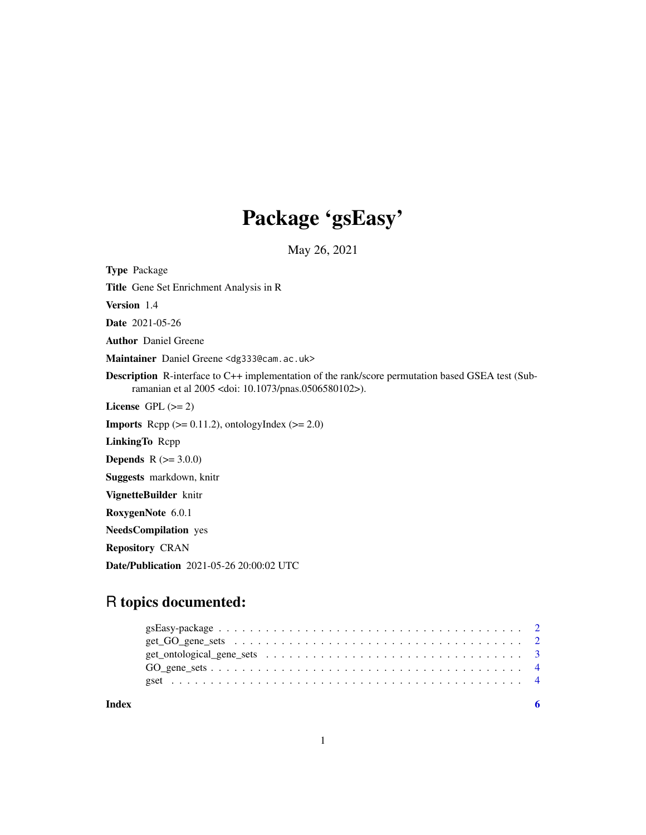## Package 'gsEasy'

May 26, 2021

Type Package

Title Gene Set Enrichment Analysis in R

Version 1.4

Date 2021-05-26

Author Daniel Greene

Maintainer Daniel Greene <dg333@cam.ac.uk>

Description R-interface to C++ implementation of the rank/score permutation based GSEA test (Subramanian et al 2005 <doi: 10.1073/pnas.0506580102>).

License GPL  $(>= 2)$ 

**Imports** Rcpp  $(>= 0.11.2)$ , ontologyIndex  $(>= 2.0)$ 

LinkingTo Rcpp

**Depends** R  $(>= 3.0.0)$ 

Suggests markdown, knitr

VignetteBuilder knitr

RoxygenNote 6.0.1

NeedsCompilation yes

Repository CRAN

Date/Publication 2021-05-26 20:00:02 UTC

## R topics documented:

**Index** [6](#page-5-0) **6**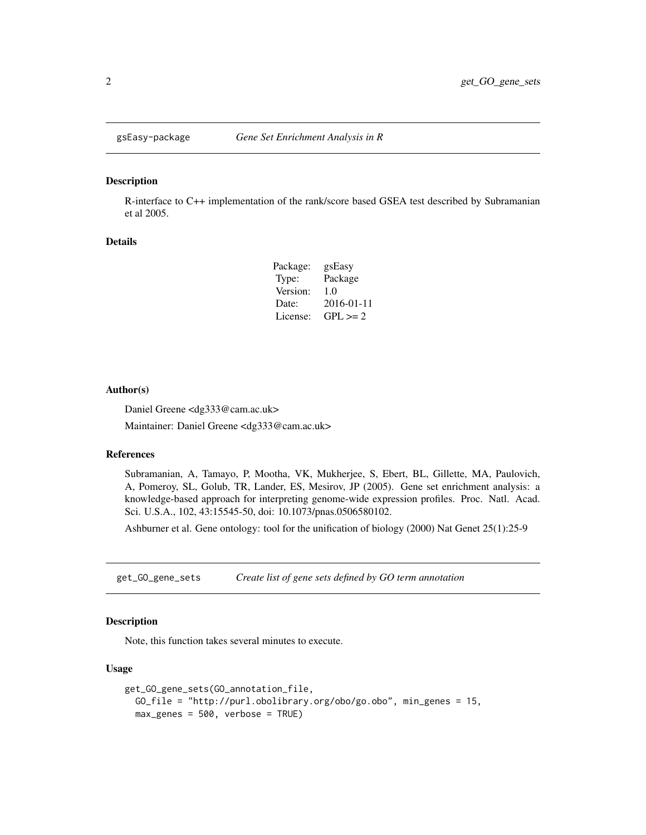<span id="page-1-0"></span>

#### Description

R-interface to C++ implementation of the rank/score based GSEA test described by Subramanian et al 2005.

#### Details

| Package: | gsEasy       |
|----------|--------------|
| Type:    | Package      |
| Version: | 1.0          |
| Date:    | 2016-01-11   |
| License: | $GPL \geq 2$ |

#### Author(s)

Daniel Greene <dg333@cam.ac.uk>

Maintainer: Daniel Greene <dg333@cam.ac.uk>

#### References

Subramanian, A, Tamayo, P, Mootha, VK, Mukherjee, S, Ebert, BL, Gillette, MA, Paulovich, A, Pomeroy, SL, Golub, TR, Lander, ES, Mesirov, JP (2005). Gene set enrichment analysis: a knowledge-based approach for interpreting genome-wide expression profiles. Proc. Natl. Acad. Sci. U.S.A., 102, 43:15545-50, doi: 10.1073/pnas.0506580102.

Ashburner et al. Gene ontology: tool for the unification of biology (2000) Nat Genet 25(1):25-9

get\_GO\_gene\_sets *Create list of gene sets defined by GO term annotation*

#### Description

Note, this function takes several minutes to execute.

#### Usage

```
get_GO_gene_sets(GO_annotation_file,
GO_file = "http://purl.obolibrary.org/obo/go.obo", min_genes = 15,
max_genes = 500, verbose = TRUE)
```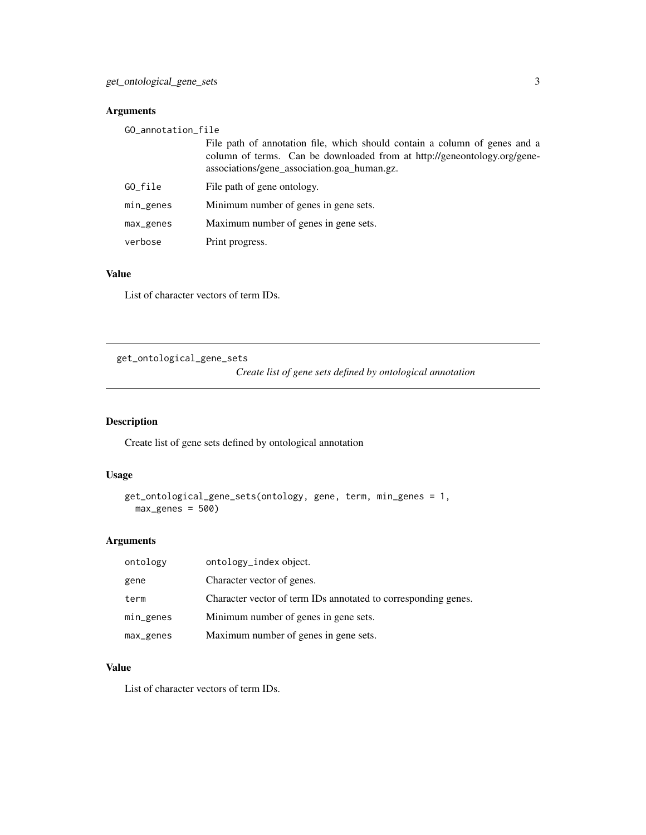#### <span id="page-2-0"></span>Arguments

| GO_annotation_file |                                                                                                                                                                                                       |
|--------------------|-------------------------------------------------------------------------------------------------------------------------------------------------------------------------------------------------------|
|                    | File path of annotation file, which should contain a column of genes and a<br>column of terms. Can be downloaded from at http://geneontology.org/gene-<br>associations/gene_association.goa_human.gz. |
| GO_file            | File path of gene ontology.                                                                                                                                                                           |
| min_genes          | Minimum number of genes in gene sets.                                                                                                                                                                 |
| max_genes          | Maximum number of genes in gene sets.                                                                                                                                                                 |
| verbose            | Print progress.                                                                                                                                                                                       |

#### Value

List of character vectors of term IDs.

get\_ontological\_gene\_sets

*Create list of gene sets defined by ontological annotation*

#### Description

Create list of gene sets defined by ontological annotation

#### Usage

```
get_ontological_gene_sets(ontology, gene, term, min_genes = 1,
max\_genes = 500)
```
#### Arguments

| ontology  | ontology_index object.                                         |
|-----------|----------------------------------------------------------------|
| gene      | Character vector of genes.                                     |
| term      | Character vector of term IDs annotated to corresponding genes. |
| min_genes | Minimum number of genes in gene sets.                          |
| max_genes | Maximum number of genes in gene sets.                          |

#### Value

List of character vectors of term IDs.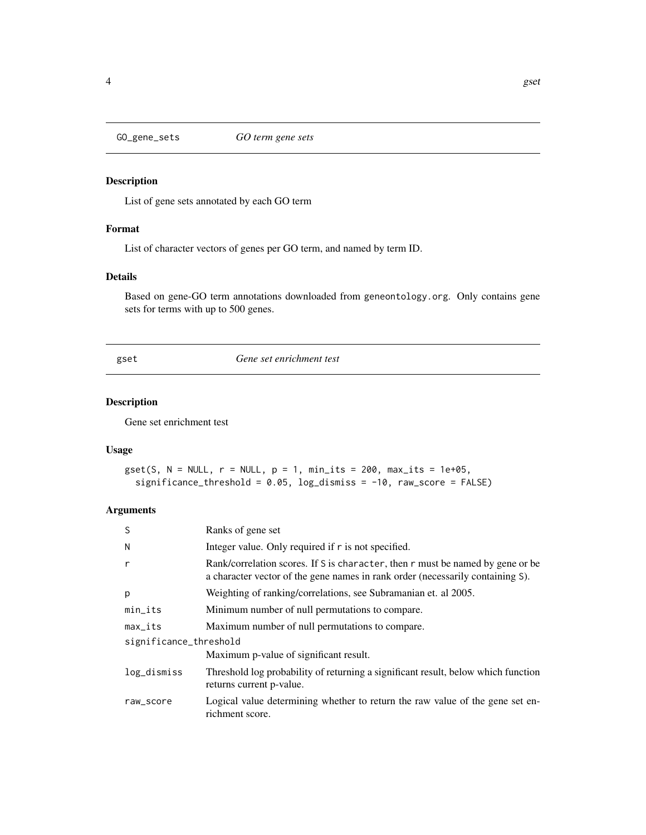<span id="page-3-0"></span>

#### Description

List of gene sets annotated by each GO term

#### Format

List of character vectors of genes per GO term, and named by term ID.

#### Details

Based on gene-GO term annotations downloaded from geneontology.org. Only contains gene sets for terms with up to 500 genes.

gset *Gene set enrichment test*

#### Description

Gene set enrichment test

#### Usage

```
gset(S, N = NULL, r = NULL, p = 1, min\_its = 200, max\_its = 1e+05,
 significance_threshold = 0.05, log_dismiss = -10, raw_score = FALSE)
```
#### Arguments

| S                      | Ranks of gene set                                                                                                                                                |  |
|------------------------|------------------------------------------------------------------------------------------------------------------------------------------------------------------|--|
| N                      | Integer value. Only required if r is not specified.                                                                                                              |  |
| r                      | Rank/correlation scores. If S is character, then r must be named by gene or be<br>a character vector of the gene names in rank order (necessarily containing S). |  |
| p                      | Weighting of ranking/correlations, see Subramanian et. al 2005.                                                                                                  |  |
| min_its                | Minimum number of null permutations to compare.                                                                                                                  |  |
| $max\_its$             | Maximum number of null permutations to compare.                                                                                                                  |  |
| significance_threshold |                                                                                                                                                                  |  |
|                        | Maximum p-value of significant result.                                                                                                                           |  |
| log_dismiss            | Threshold log probability of returning a significant result, below which function<br>returns current p-value.                                                    |  |
| raw_score              | Logical value determining whether to return the raw value of the gene set en-<br>richment score.                                                                 |  |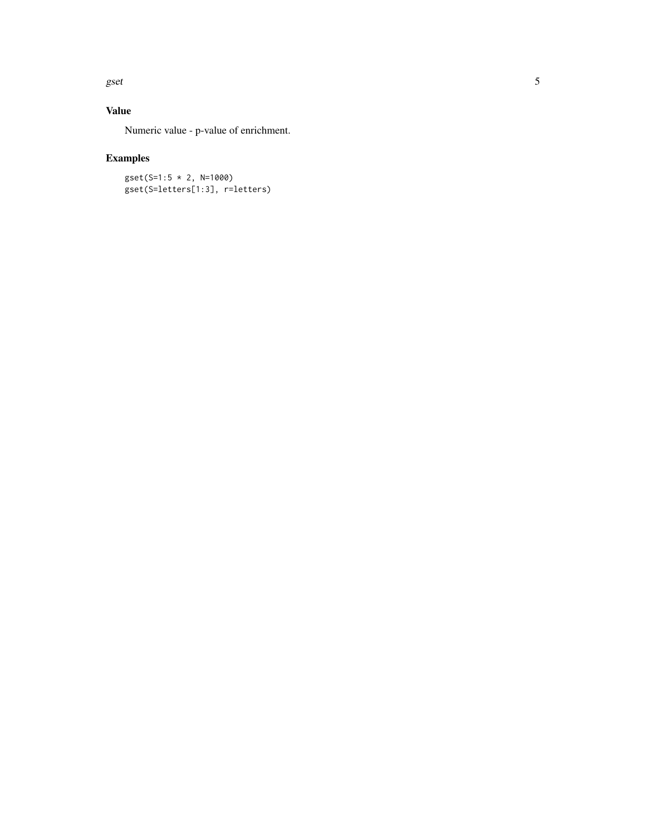gset

#### Value

Numeric value - p-value of enrichment.

### Examples

gset(S=1:5 \* 2, N=1000) gset(S=letters[1:3], r=letters)